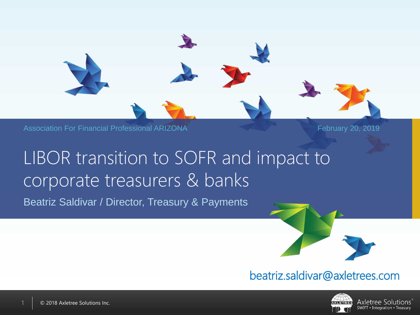

Association For Financial Professional ARIZONA **February 20, 2019** February 20, 2019

# LIBOR transition to SOFR and impact to corporate treasurers & banks

Beatriz Saldivar / Director, Treasury & Payments



#### beatriz.saldivar@axletrees.com



Axletree Solutions SWIFT • Integration • Treasury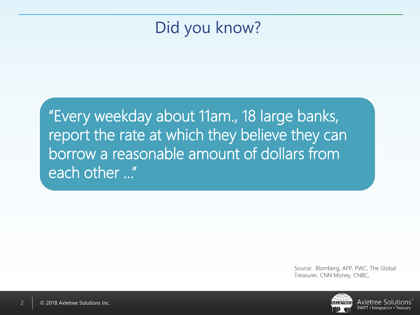# Did you know?

"Every weekday about 11am., 18 large banks, report the rate at which they believe they can borrow a reasonable amount of dollars from each other …"

> Source: Blomberg, AFP, PWC, The Global Treasurer, CNN Money, CNBC,

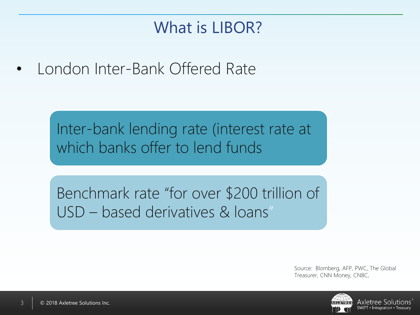# What is LIBOR?

• London Inter-Bank Offered Rate

Inter-bank lending rate (interest rate at which banks offer to lend funds

Benchmark rate "for over \$200 trillion of USD – based derivatives & loans"

> Source: Blomberg, AFP, PWC, The Global Treasurer, CNN Money, CNBC,

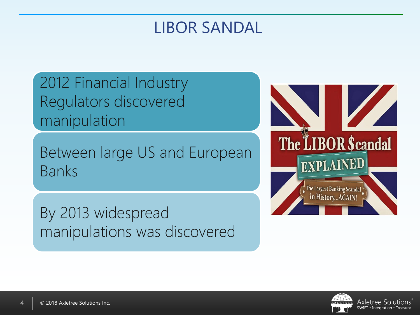### LIBOR SANDAL

2012 Financial Industry Regulators discovered manipulation

Between large US and European Banks

By 2013 widespread manipulations was discovered



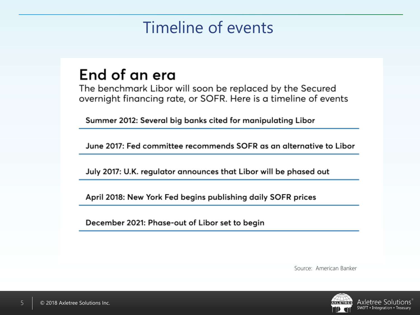# Timeline of events

#### End of an era

The benchmark Libor will soon be replaced by the Secured overnight financing rate, or SOFR. Here is a timeline of events

Summer 2012: Several big banks cited for manipulating Libor

June 2017: Fed committee recommends SOFR as an alternative to Libor

July 2017: U.K. regulator announces that Libor will be phased out

April 2018: New York Fed begins publishing daily SOFR prices

December 2021: Phase-out of Libor set to begin

Source: American Banker

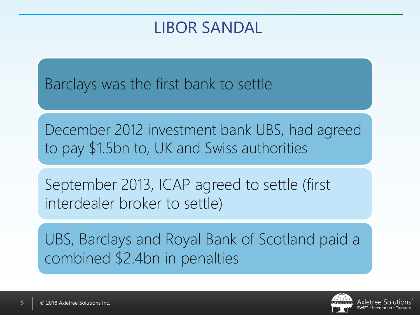### LIBOR SANDAL

Barclays was the first bank to settle

December 2012 investment bank UBS, had agreed to pay \$1.5bn to, UK and Swiss authorities

September 2013, ICAP agreed to settle (first interdealer broker to settle)

UBS, Barclays and Royal Bank of Scotland paid a combined \$2.4bn in penalties

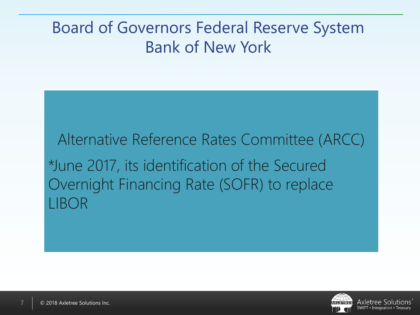# Board of Governors Federal Reserve System Bank of New York

Alternative Reference Rates Committee (ARCC) \*June 2017, its identification of the Secured Overnight Financing Rate (SOFR) to replace LIBOR

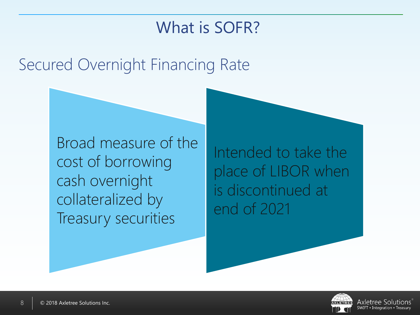# What is SOFR?

# Secured Overnight Financing Rate

Broad measure of the cost of borrowing cash overnight collateralized by Treasury securities

Intended to take the place of LIBOR when is discontinued at end of 2021

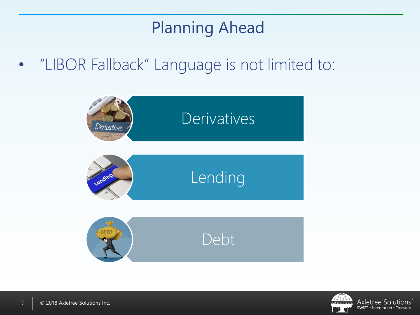# Planning Ahead

• "LIBOR Fallback" Language is not limited to:



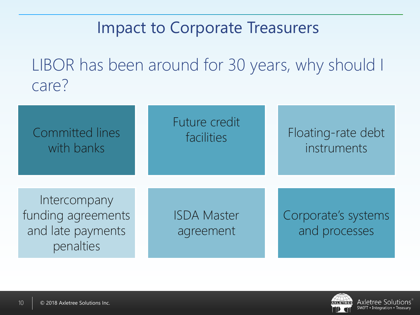# Impact to Corporate Treasurers

LIBOR has been around for 30 years, why should I care?

| <b>Committed lines</b><br>with banks                                 | Future credit<br>facilities     | Floating-rate debt<br>instruments    |
|----------------------------------------------------------------------|---------------------------------|--------------------------------------|
| Intercompany<br>funding agreements<br>and late payments<br>penalties | <b>ISDA Master</b><br>agreement | Corporate's systems<br>and processes |

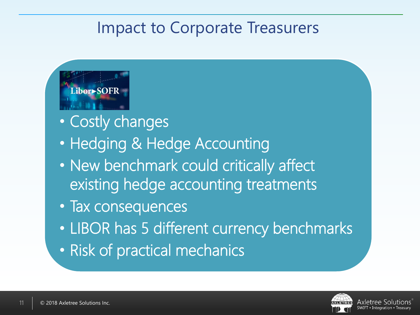# Impact to Corporate Treasurers



- Costly changes
- Hedging & Hedge Accounting
- New benchmark could critically affect existing hedge accounting treatments
- Tax consequences
- LIBOR has 5 different currency benchmarks
- Risk of practical mechanics

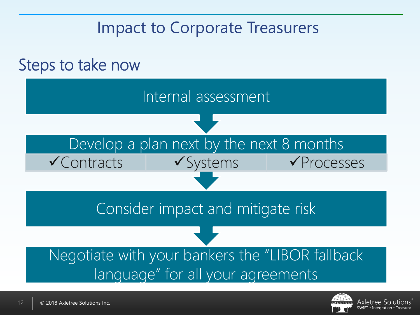# Impact to Corporate Treasurers



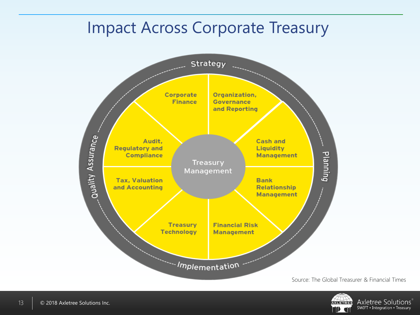## Impact Across Corporate Treasury



Source: The Global Treasurer & Financial Times

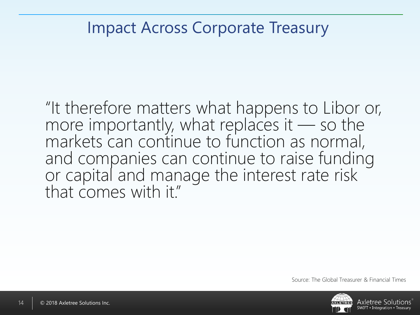### Impact Across Corporate Treasury

"It therefore matters what happens to Libor or, more importantly, what replaces it — so the markets can continue to function as normal, and companies can continue to raise funding or capital and manage the interest rate risk that comes with it."



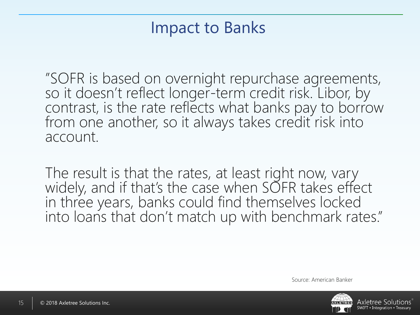### Impact to Banks

"SOFR is based on overnight repurchase agreements, so it doesn't reflect longer-term credit risk. Libor, by contrast, is the rate reflects what banks pay to borrow from one another, so it always takes credit risk into account.

The result is that the rates, at least right now, vary widely, and if that's the case when SOFR takes effect in three years, banks could find themselves locked into loans that don't match up with benchmark rates."

Source: American Banker

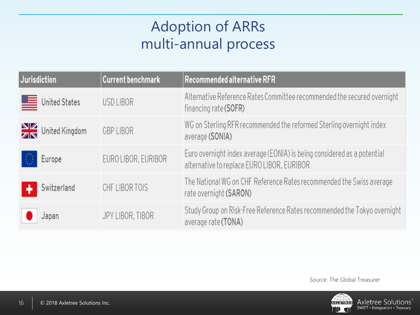### Adoption of ARRs multi-annual process

| Jurisdiction                  | <b>Current benchmark</b> | Recommended alternative RFR                                                                                           |
|-------------------------------|--------------------------|-----------------------------------------------------------------------------------------------------------------------|
| United States                 | USD LIBOR                | Alternative Reference Rates Committee recommended the secured overnight<br>financing rate (SOFR)                      |
| $\frac{N}{2N}$ United Kingdom | <b>GBP LIBOR</b>         | WG on Sterling RFR recommended the reformed Sterling overnight index<br>average (SONIA)                               |
| -0<br>Europe                  | EURO LIBOR, EURIBOR      | Euro overnight index average (EONIA) is being considered as a potential<br>alternative to replace EURO LIBOR, EURIBOR |
| Switzerland                   | CHF LIBOR TOIS           | The National WG on CHF Reference Rates recommended the Swiss average<br>rate overnight (SARON)                        |
| Japan                         | JPY LIBOR, TIBOR         | Study Group on Risk-Free Reference Rates recommended the Tokyo overnight<br>average rate (TONA)                       |

Source: The Global Treasurer

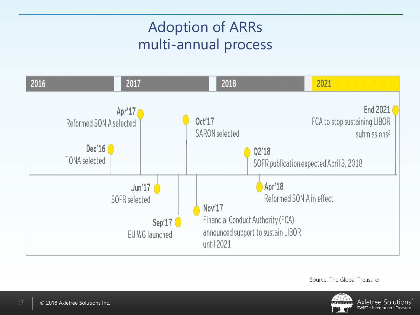### Adoption of ARRs multi-annual process



Source: The Global Treasurer

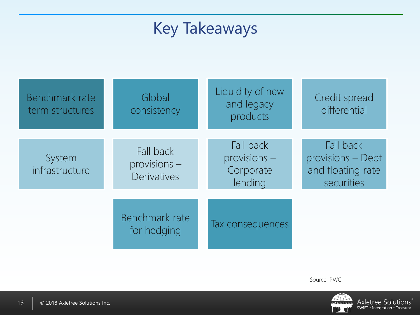# Key Takeaways

| Benchmark rate<br>term structures | Global<br>consistency                           | Liquidity of new<br>and legacy<br>products          | Credit spread<br>differential                                     |
|-----------------------------------|-------------------------------------------------|-----------------------------------------------------|-------------------------------------------------------------------|
| System<br>infrastructure          | Fall back<br>provisions -<br><b>Derivatives</b> | Fall back<br>$provisions -$<br>Corporate<br>lending | Fall back<br>provisions - Debt<br>and floating rate<br>securities |
|                                   | Benchmark rate<br>for hedging                   | Tax consequences                                    |                                                                   |

Source: PWC